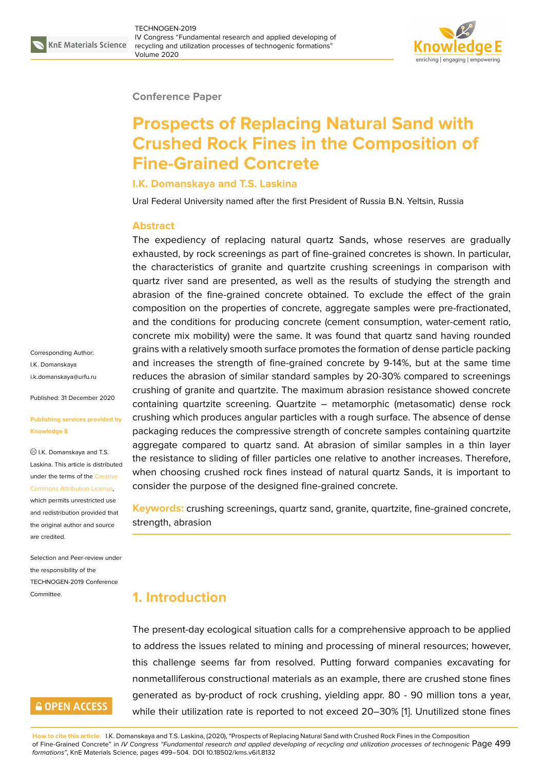

#### **Conference Paper**

# **Prospects of Replacing Natural Sand with Crushed Rock Fines in the Composition of Fine-Grained Concrete**

#### **I.K. Domanskaya and T.S. Laskina**

Ural Federal University named after the first President of Russia B.N. Yeltsin, Russia

#### **Abstract**

The expediency of replacing natural quartz Sands, whose reserves are gradually exhausted, by rock screenings as part of fine-grained concretes is shown. In particular, the characteristics of granite and quartzite crushing screenings in comparison with quartz river sand are presented, as well as the results of studying the strength and abrasion of the fine-grained concrete obtained. To exclude the effect of the grain composition on the properties of concrete, aggregate samples were pre-fractionated, and the conditions for producing concrete (cement consumption, water-cement ratio, concrete mix mobility) were the same. It was found that quartz sand having rounded grains with a relatively smooth surface promotes the formation of dense particle packing and increases the strength of fine-grained concrete by 9-14%, but at the same time reduces the abrasion of similar standard samples by 20-30% compared to screenings crushing of granite and quartzite. The maximum abrasion resistance showed concrete containing quartzite screening. Quartzite – metamorphic (metasomatic) dense rock crushing which produces angular particles with a rough surface. The absence of dense packaging reduces the compressive strength of concrete samples containing quartzite aggregate compared to quartz sand. At abrasion of similar samples in a thin layer the resistance to sliding of filler particles one relative to another increases. Therefore, when choosing crushed rock fines instead of natural quartz Sands, it is important to consider the purpose of the designed fine-grained concrete.

**Keywords:** crushing screenings, quartz sand, granite, quartzite, fine-grained concrete, strength, abrasion

## **1. Introduction**

The present-day ecological situation calls for a comprehensive approach to be applied to address the issues related to mining and processing of mineral resources; however, this challenge seems far from resolved. Putting forward companies excavating for nonmetalliferous constructional materials as an example, there are crushed stone fines generated as by-product of rock crushing, yielding appr. 80 - 90 million tons a year, while their utilization rate is reported to not exceed 20–30% [1]. Unutilized stone fines

Corresponding Author: I.K. Domanskaya i.k.domanskaya@urfu.ru

Published: 31 December 2020

#### **[Publishing services pro](mailto:i.k.domanskaya@urfu.ru)vided by Knowledge E**

I.K. Domanskaya and T.S. Laskina. This article is distributed under the terms of the Creative Commons Attribution License,

which permits unrestricted use and redistribution provided that the original author and [source](https://creativecommons.org/licenses/by/4.0/) [are credited.](https://creativecommons.org/licenses/by/4.0/)

Selection and Peer-review under the responsibility of the TECHNOGEN-2019 Conference Committee.

## **GOPEN ACCESS**

**How to cite this article**: I.K. Domanskaya and T.S. Laskina, (2020), "Prospects of Replacing Natural Sand with Crushed Rock Fines in the Composition of Fine-Grained Concrete" in *IV Congress "Fundamental research and applied developing of recycling and utilization processes of technogenic* Page 499 *formations"*, KnE Materials Science, pages 499–504. DOI 10.18502/kms.v6i1.8132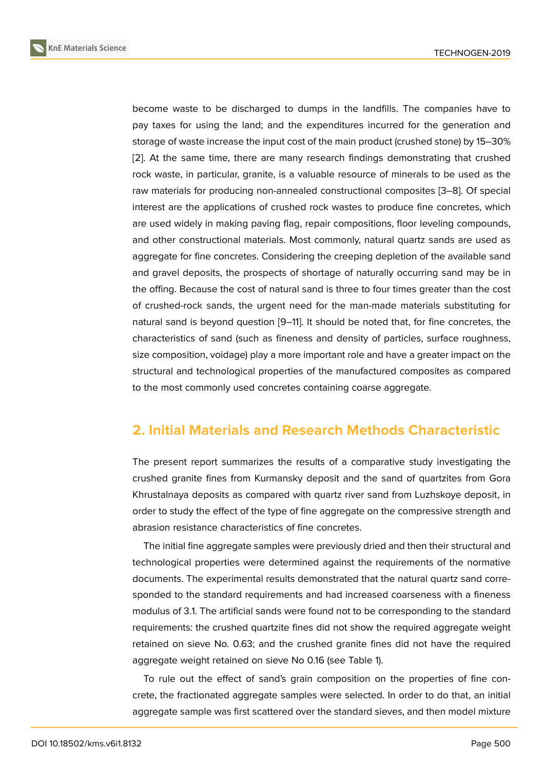become waste to be discharged to dumps in the landfills. The companies have to pay taxes for using the land; and the expenditures incurred for the generation and storage of waste increase the input cost of the main product (crushed stone) by 15–30% [2]. At the same time, there are many research findings demonstrating that crushed rock waste, in particular, granite, is a valuable resource of minerals to be used as the raw materials for producing non-annealed constructional composites [3–8]. Of special i[nt](#page-4-0)erest are the applications of crushed rock wastes to produce fine concretes, which are used widely in making paving flag, repair compositions, floor leveling compounds, and other constructional materials. Most commonly, natural quartz sa[nd](#page-4-1)[s a](#page-5-0)re used as aggregate for fine concretes. Considering the creeping depletion of the available sand and gravel deposits, the prospects of shortage of naturally occurring sand may be in the offing. Because the cost of natural sand is three to four times greater than the cost of crushed-rock sands, the urgent need for the man-made materials substituting for natural sand is beyond question [9–11]. It should be noted that, for fine concretes, the characteristics of sand (such as fineness and density of particles, surface roughness, size composition, voidage) play a more important role and have a greater impact on the structural and technological prop[er](#page-5-1)t[ies](#page-5-2) of the manufactured composites as compared to the most commonly used concretes containing coarse aggregate.

## **2. Initial Materials and Research Methods Characteristic**

The present report summarizes the results of a comparative study investigating the crushed granite fines from Kurmansky deposit and the sand of quartzites from Gora Khrustalnaya deposits as compared with quartz river sand from Luzhskoye deposit, in order to study the effect of the type of fine aggregate on the compressive strength and abrasion resistance characteristics of fine concretes.

The initial fine aggregate samples were previously dried and then their structural and technological properties were determined against the requirements of the normative documents. The experimental results demonstrated that the natural quartz sand corresponded to the standard requirements and had increased coarseness with a fineness modulus of 3.1. The artificial sands were found not to be corresponding to the standard requirements: the crushed quartzite fines did not show the required aggregate weight retained on sieve No. 0.63; and the crushed granite fines did not have the required aggregate weight retained on sieve No 0.16 (see Table 1).

To rule out the effect of sand's grain composition on the properties of fine concrete, the fractionated aggregate samples were selected. In order to do that, an initial aggregate sample was first scattered over the standard sieves, and then model mixture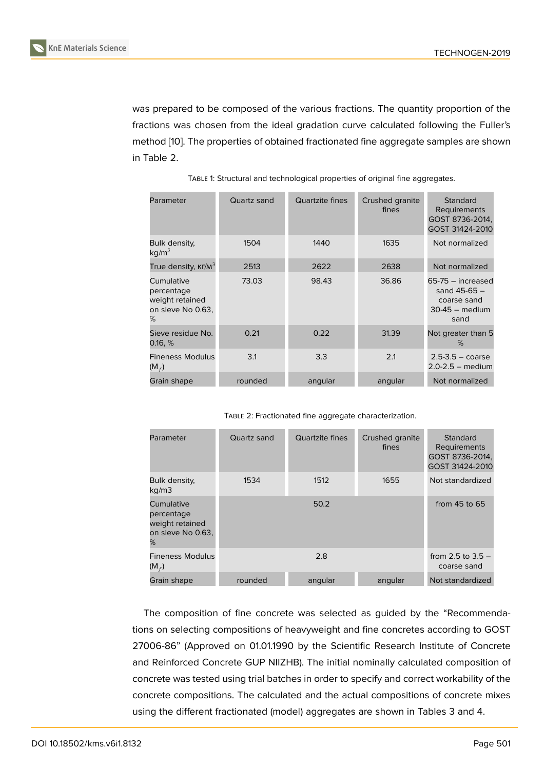was prepared to be composed of the various fractions. The quantity proportion of the fractions was chosen from the ideal gradation curve calculated following the Fuller's method [10]. The properties of obtained fractionated fine aggregate samples are shown in Table 2.

| Parameter                                                             | Quartz sand | Quartzite fines | Crushed granite<br>fines | Standard<br>Requirements<br>GOST 8736-2014,<br>GOST 31424-2010                     |
|-----------------------------------------------------------------------|-------------|-----------------|--------------------------|------------------------------------------------------------------------------------|
| Bulk density,<br>kg/m <sup>3</sup>                                    | 1504        | 1440            | 1635                     | Not normalized                                                                     |
| True density, $KT/M^3$                                                | 2513        | 2622            | 2638                     | Not normalized                                                                     |
| Cumulative<br>percentage<br>weight retained<br>on sieve No 0.63,<br>℅ | 73.03       | 98.43           | 36.86                    | $65-75 -$ increased<br>sand $45 - 65 -$<br>coarse sand<br>$30-45$ - medium<br>sand |
| Sieve residue No.<br>0.16, %                                          | 0.21        | 0.22            | 31.39                    | Not greater than 5<br>%                                                            |
| <b>Fineness Modulus</b><br>$(M_f)$                                    | 3.1         | 3.3             | 2.1                      | $2.5 - 3.5 - \text{coarse}$<br>$2.0 - 2.5$ - medium                                |
| Grain shape                                                           | rounded     | angular         | angular                  | Not normalized                                                                     |

TABLE 1: Structural and technological properties of original fine aggregates.

TABLE 2: Fractionated fine aggregate characterization.

| Parameter                                                             | Quartz sand | Quartzite fines | Crushed granite<br>fines | Standard<br>Requirements<br>GOST 8736-2014,<br>GOST 31424-2010 |
|-----------------------------------------------------------------------|-------------|-----------------|--------------------------|----------------------------------------------------------------|
| Bulk density,<br>kg/m3                                                | 1534        | 1512            | 1655                     | Not standardized                                               |
| Cumulative<br>percentage<br>weight retained<br>on sieve No 0.63,<br>℅ |             | 50.2            |                          | from $45$ to $65$                                              |
| <b>Fineness Modulus</b><br>$(M_f)$                                    |             | 2.8             |                          | from 2.5 to $3.5 -$<br>coarse sand                             |
| Grain shape                                                           | rounded     | angular         | angular                  | Not standardized                                               |

The composition of fine concrete was selected as guided by the "Recommendations on selecting compositions of heavyweight and fine concretes according to GOST 27006-86" (Approved on 01.01.1990 by the Scientific Research Institute of Concrete and Reinforced Concrete GUP NIIZHB). The initial nominally calculated composition of concrete was tested using trial batches in order to specify and correct workability of the concrete compositions. The calculated and the actual compositions of concrete mixes using the different fractionated (model) aggregates are shown in Tables 3 and 4.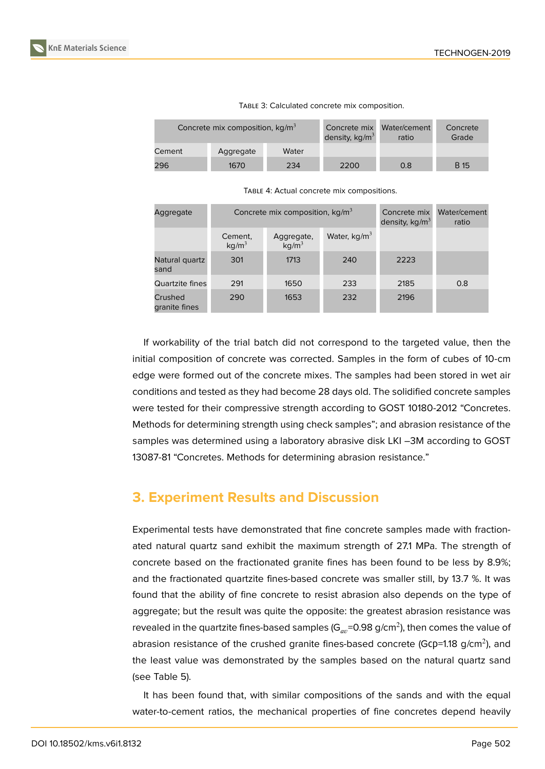

| Concrete mix composition, $kg/m3$ |           | Concrete mix<br>density, $kg/m3$ | Water/cement<br>ratio | Concrete<br>Grade |             |
|-----------------------------------|-----------|----------------------------------|-----------------------|-------------------|-------------|
| Cement                            | Aggregate | Water                            |                       |                   |             |
| 296                               | 1670      | 234                              | 2200                  | 0.8               | <b>B</b> 15 |

TABLE 3: Calculated concrete mix composition.

| Aggregate                |                              | Concrete mix composition, $kg/m3$ |                |      | Water/cement<br>ratio |
|--------------------------|------------------------------|-----------------------------------|----------------|------|-----------------------|
|                          | Cement,<br>kg/m <sup>3</sup> | Aggregate,<br>kg/m <sup>3</sup>   | Water, $kg/m3$ |      |                       |
| Natural quartz<br>sand   | 301                          | 1713                              | 240            | 2223 |                       |
| Quartzite fines          | 291                          | 1650                              | 233            | 2185 | 0.8                   |
| Crushed<br>granite fines | 290                          | 1653                              | 232            | 2196 |                       |

If workability of the trial batch did not correspond to the targeted value, then the initial composition of concrete was corrected. Samples in the form of cubes of 10-cm edge were formed out of the concrete mixes. The samples had been stored in wet air conditions and tested as they had become 28 days old. The solidified concrete samples were tested for their compressive strength according to GOST 10180-2012 "Concretes. Methods for determining strength using check samples"; and abrasion resistance of the samples was determined using a laboratory abrasive disk LKI -3M according to GOST 13087-81 "Concretes. Methods for determining abrasion resistance."

### **3. Experiment Results and Discussion**

Experimental tests have demonstrated that fine concrete samples made with fractionated natural quartz sand exhibit the maximum strength of 27.1 MPa. The strength of concrete based on the fractionated granite fines has been found to be less by 8.9%; and the fractionated quartzite fines-based concrete was smaller still, by 13.7 %. It was found that the ability of fine concrete to resist abrasion also depends on the type of aggregate; but the result was quite the opposite: the greatest abrasion resistance was revealed in the quartzite fines-based samples (G $_{av}$ =0.98 g/cm $^2$ ), then comes the value of abrasion resistance of the crushed granite fines-based concrete (Gcp=1.18 g/cm<sup>2</sup>), and the least value was demonstrated by the samples based on the natural quartz sand (see Table 5).

It has been found that, with similar compositions of the sands and with the equal water-to-cement ratios, the mechanical properties of fine concretes depend heavily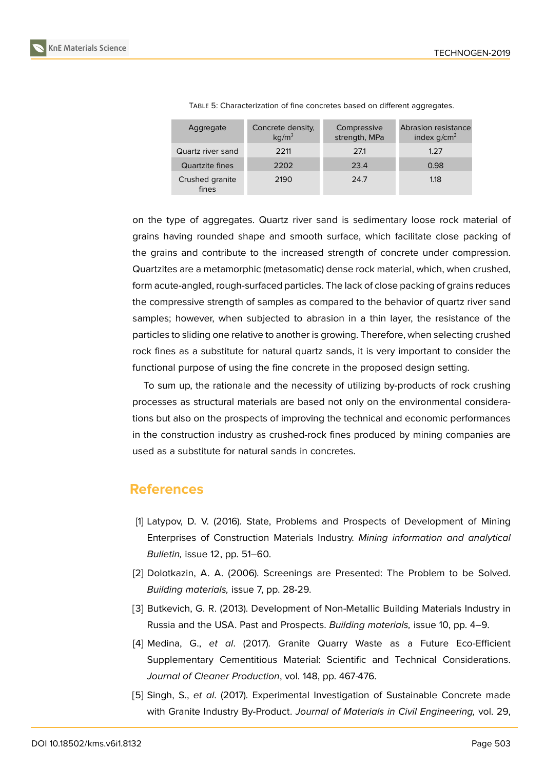| Aggregate                | Concrete density,<br>kg/m <sup>3</sup> | Compressive<br>strength, MPa | Abrasion resistance<br>index $g/cm2$ |
|--------------------------|----------------------------------------|------------------------------|--------------------------------------|
| Quartz river sand        | 2211                                   | 271                          | 1.27                                 |
| Quartzite fines          | 2202                                   | 23.4                         | 0.98                                 |
| Crushed granite<br>fines | 2190                                   | 24.7                         | 1.18                                 |

TABLE 5: Characterization of fine concretes based on different aggregates.

on the type of aggregates. Quartz river sand is sedimentary loose rock material of grains having rounded shape and smooth surface, which facilitate close packing of the grains and contribute to the increased strength of concrete under compression. Quartzites are a metamorphic (metasomatic) dense rock material, which, when crushed, form acute-angled, rough-surfaced particles. The lack of close packing of grains reduces the compressive strength of samples as compared to the behavior of quartz river sand samples; however, when subjected to abrasion in a thin layer, the resistance of the particles to sliding one relative to another is growing. Therefore, when selecting crushed rock fines as a substitute for natural quartz sands, it is very important to consider the functional purpose of using the fine concrete in the proposed design setting.

To sum up, the rationale and the necessity of utilizing by-products of rock crushing processes as structural materials are based not only on the environmental considerations but also on the prospects of improving the technical and economic performances in the construction industry as crushed-rock fines produced by mining companies are used as a substitute for natural sands in concretes.

### **References**

- [1] Latypov, D. V. (2016). State, Problems and Prospects of Development of Mining Enterprises of Construction Materials Industry. *Mining information and analytical Bulletin,* issue 12, pp. 51–60.
- <span id="page-4-0"></span>[2] Dolotkazin, A. A. (2006). Screenings are Presented: The Problem to be Solved. *Building materials,* issue 7, pp. 28-29.
- <span id="page-4-1"></span>[3] Butkevich, G. R. (2013). Development of Non-Metallic Building Materials Industry in Russia and the USA. Past and Prospects. *Building materials,* issue 10, pp. 4–9.
- [4] Medina, G., *et al*. (2017). Granite Quarry Waste as a Future Eco-Efficient Supplementary Cementitious Material: Scientific and Technical Considerations. *Journal of Cleaner Production*, vol. 148, pp. 467-476.
- [5] Singh, S., *et al*. (2017). Experimental Investigation of Sustainable Concrete made with Granite Industry By-Product. *Journal of Materials in Civil Engineering,* vol. 29,